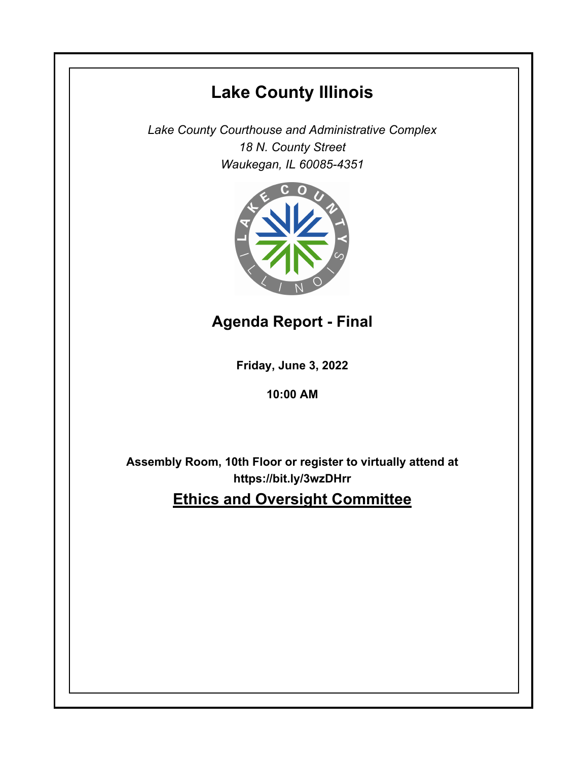# **Lake County Illinois**

*Lake County Courthouse and Administrative Complex 18 N. County Street Waukegan, IL 60085-4351*



## **Agenda Report - Final**

**Friday, June 3, 2022**

### **10:00 AM**

**Assembly Room, 10th Floor or register to virtually attend at https://bit.ly/3wzDHrr Ethics and Oversight Committee**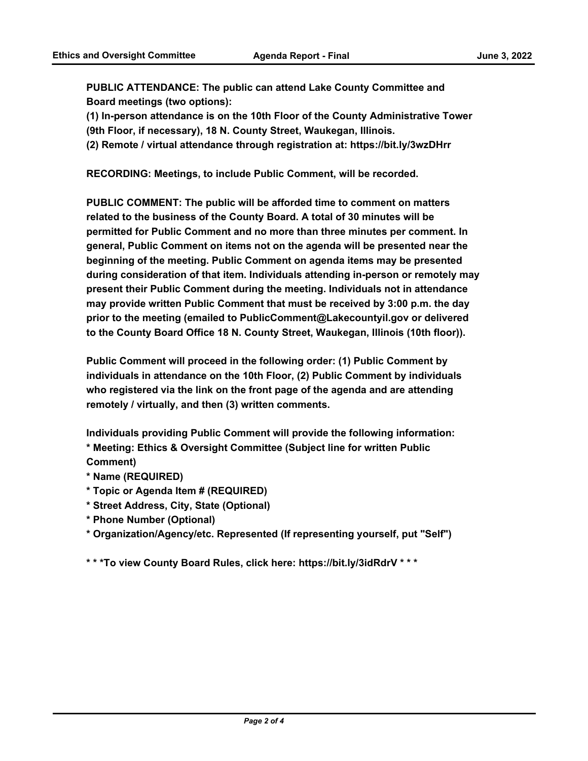**PUBLIC ATTENDANCE: The public can attend Lake County Committee and Board meetings (two options):** 

**(1) In-person attendance is on the 10th Floor of the County Administrative Tower** 

**(9th Floor, if necessary), 18 N. County Street, Waukegan, Illinois.**

**(2) Remote / virtual attendance through registration at: https://bit.ly/3wzDHrr**

**RECORDING: Meetings, to include Public Comment, will be recorded.**

**PUBLIC COMMENT: The public will be afforded time to comment on matters related to the business of the County Board. A total of 30 minutes will be permitted for Public Comment and no more than three minutes per comment. In general, Public Comment on items not on the agenda will be presented near the beginning of the meeting. Public Comment on agenda items may be presented during consideration of that item. Individuals attending in-person or remotely may present their Public Comment during the meeting. Individuals not in attendance may provide written Public Comment that must be received by 3:00 p.m. the day prior to the meeting (emailed to PublicComment@Lakecountyil.gov or delivered to the County Board Office 18 N. County Street, Waukegan, Illinois (10th floor)).** 

**Public Comment will proceed in the following order: (1) Public Comment by individuals in attendance on the 10th Floor, (2) Public Comment by individuals who registered via the link on the front page of the agenda and are attending remotely / virtually, and then (3) written comments.** 

**Individuals providing Public Comment will provide the following information: \* Meeting: Ethics & Oversight Committee (Subject line for written Public Comment)**

- **\* Name (REQUIRED)**
- **\* Topic or Agenda Item # (REQUIRED)**
- **\* Street Address, City, State (Optional)**
- **\* Phone Number (Optional)**
- **\* Organization/Agency/etc. Represented (If representing yourself, put "Self")**

**\* \* \*To view County Board Rules, click here: https://bit.ly/3idRdrV \* \* \***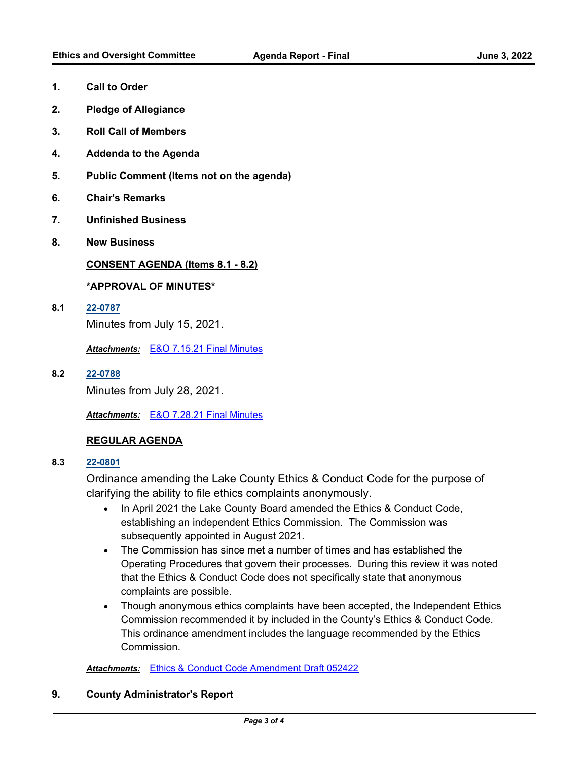- **1. Call to Order**
- **2. Pledge of Allegiance**
- **3. Roll Call of Members**
- **4. Addenda to the Agenda**
- **5. Public Comment (Items not on the agenda)**
- **6. Chair's Remarks**
- **7. Unfinished Business**
- **8. New Business**

#### **CONSENT AGENDA (Items 8.1 - 8.2)**

#### **\*APPROVAL OF MINUTES\***

**8.1 [22-0787](http://lakecounty.legistar.com/gateway.aspx?m=l&id=/matter.aspx?key=26573)**

Minutes from July 15, 2021.

*Attachments:* [E&O 7.15.21 Final Minutes](http://lakecounty.legistar.com/gateway.aspx?M=F&ID=c2562d90-7869-47e6-a6f4-42f1aa15a904.pdf)

**8.2 [22-0788](http://lakecounty.legistar.com/gateway.aspx?m=l&id=/matter.aspx?key=26574)**

Minutes from July 28, 2021.

*Attachments:* [E&O 7.28.21 Final Minutes](http://lakecounty.legistar.com/gateway.aspx?M=F&ID=be32c951-94b8-45de-be2a-3ddca0e32f30.pdf)

#### **REGULAR AGENDA**

**8.3 [22-0801](http://lakecounty.legistar.com/gateway.aspx?m=l&id=/matter.aspx?key=26587)**

Ordinance amending the Lake County Ethics & Conduct Code for the purpose of clarifying the ability to file ethics complaints anonymously.

- · In April 2021 the Lake County Board amended the Ethics & Conduct Code, establishing an independent Ethics Commission. The Commission was subsequently appointed in August 2021.
- · The Commission has since met a number of times and has established the Operating Procedures that govern their processes. During this review it was noted that the Ethics & Conduct Code does not specifically state that anonymous complaints are possible.
- · Though anonymous ethics complaints have been accepted, the Independent Ethics Commission recommended it by included in the County's Ethics & Conduct Code. This ordinance amendment includes the language recommended by the Ethics Commission.

*Attachments:* [Ethics & Conduct Code Amendment Draft 052422](http://lakecounty.legistar.com/gateway.aspx?M=F&ID=7744ab0b-d59e-4bda-ad68-47c3a8fddb4a.pdf)

#### **9. County Administrator's Report**